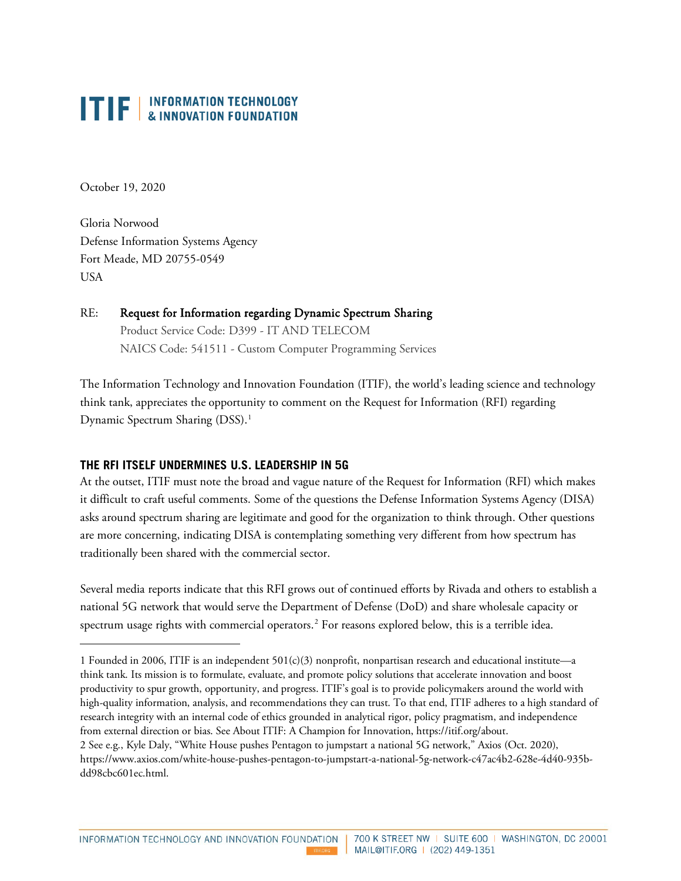October 19, 2020

Gloria Norwood Defense Information Systems Agency Fort Meade, MD 20755-0549 USA

#### RE: Request for Information regarding Dynamic Spectrum Sharing Product Service Code: D399 - IT AND TELECOM NAICS Code: 541511 - Custom Computer Programming Services

The Information Technology and Innovation Foundation (ITIF), the world's leading science and technology think tank, appreciates the opportunity to comment on the Request for Information (RFI) regarding Dynamic Spectrum Sharing (DSS).<sup>[1](#page-0-0)</sup>

#### **THE RFI ITSELF UNDERMINES U.S. LEADERSHIP IN 5G**

At the outset, ITIF must note the broad and vague nature of the Request for Information (RFI) which makes it difficult to craft useful comments. Some of the questions the Defense Information Systems Agency (DISA) asks around spectrum sharing are legitimate and good for the organization to think through. Other questions are more concerning, indicating DISA is contemplating something very different from how spectrum has traditionally been shared with the commercial sector.

Several media reports indicate that this RFI grows out of continued efforts by Rivada and others to establish a national 5G network that would serve the Department of Defense (DoD) and share wholesale capacity or spectrum usage rights with commercial operators.<sup>[2](#page-0-1)</sup> For reasons explored below, this is a terrible idea.

**THEORG** 

<span id="page-0-1"></span><span id="page-0-0"></span><sup>1</sup> Founded in 2006, ITIF is an independent 501(c)(3) nonprofit, nonpartisan research and educational institute—a think tank. Its mission is to formulate, evaluate, and promote policy solutions that accelerate innovation and boost productivity to spur growth, opportunity, and progress. ITIF's goal is to provide policymakers around the world with high-quality information, analysis, and recommendations they can trust. To that end, ITIF adheres to a high standard of research integrity with an internal code of ethics grounded in analytical rigor, policy pragmatism, and independence from external direction or bias. See About ITIF: A Champion for Innovation, [https://itif.org/about.](https://itif.org/about) 2 See e.g., Kyle Daly, "White House pushes Pentagon to jumpstart a national 5G network," Axios (Oct. 2020), [https://www.axios.com/white-house-pushes-pentagon-to-jumpstart-a-national-5g-network-c47ac4b2-628e-4d40-935b](https://www.axios.com/white-house-pushes-pentagon-to-jumpstart-a-national-5g-network-c47ac4b2-628e-4d40-935b-dd98cbc601ec.html)[dd98cbc601ec.html.](https://www.axios.com/white-house-pushes-pentagon-to-jumpstart-a-national-5g-network-c47ac4b2-628e-4d40-935b-dd98cbc601ec.html)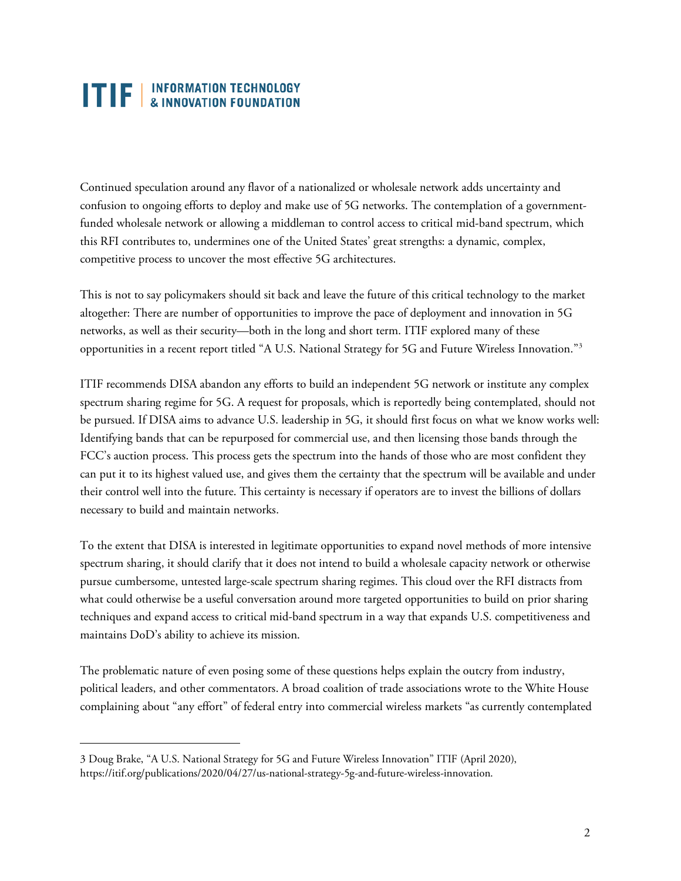Continued speculation around any flavor of a nationalized or wholesale network adds uncertainty and confusion to ongoing efforts to deploy and make use of 5G networks. The contemplation of a governmentfunded wholesale network or allowing a middleman to control access to critical mid-band spectrum, which this RFI contributes to, undermines one of the United States' great strengths: a dynamic, complex, competitive process to uncover the most effective 5G architectures.

This is not to say policymakers should sit back and leave the future of this critical technology to the market altogether: There are number of opportunities to improve the pace of deployment and innovation in 5G networks, as well as their security—both in the long and short term. ITIF explored many of these opportunities in a recent report titled "A U.S. National Strategy for 5G and Future Wireless Innovation."[3](#page-1-0)

ITIF recommends DISA abandon any efforts to build an independent 5G network or institute any complex spectrum sharing regime for 5G. A request for proposals, which is reportedly being contemplated, should not be pursued. If DISA aims to advance U.S. leadership in 5G, it should first focus on what we know works well: Identifying bands that can be repurposed for commercial use, and then licensing those bands through the FCC's auction process. This process gets the spectrum into the hands of those who are most confident they can put it to its highest valued use, and gives them the certainty that the spectrum will be available and under their control well into the future. This certainty is necessary if operators are to invest the billions of dollars necessary to build and maintain networks.

To the extent that DISA is interested in legitimate opportunities to expand novel methods of more intensive spectrum sharing, it should clarify that it does not intend to build a wholesale capacity network or otherwise pursue cumbersome, untested large-scale spectrum sharing regimes. This cloud over the RFI distracts from what could otherwise be a useful conversation around more targeted opportunities to build on prior sharing techniques and expand access to critical mid-band spectrum in a way that expands U.S. competitiveness and maintains DoD's ability to achieve its mission.

The problematic nature of even posing some of these questions helps explain the outcry from industry, political leaders, and other commentators. A broad coalition of trade associations wrote to the White House complaining about "any effort" of federal entry into commercial wireless markets "as currently contemplated

<span id="page-1-0"></span><sup>3</sup> Doug Brake, "A U.S. National Strategy for 5G and Future Wireless Innovation" ITIF (April 2020), [https://itif.org/publications/2020/04/27/us-national-strategy-5g-and-future-wireless-innovation.](https://itif.org/publications/2020/04/27/us-national-strategy-5g-and-future-wireless-innovation)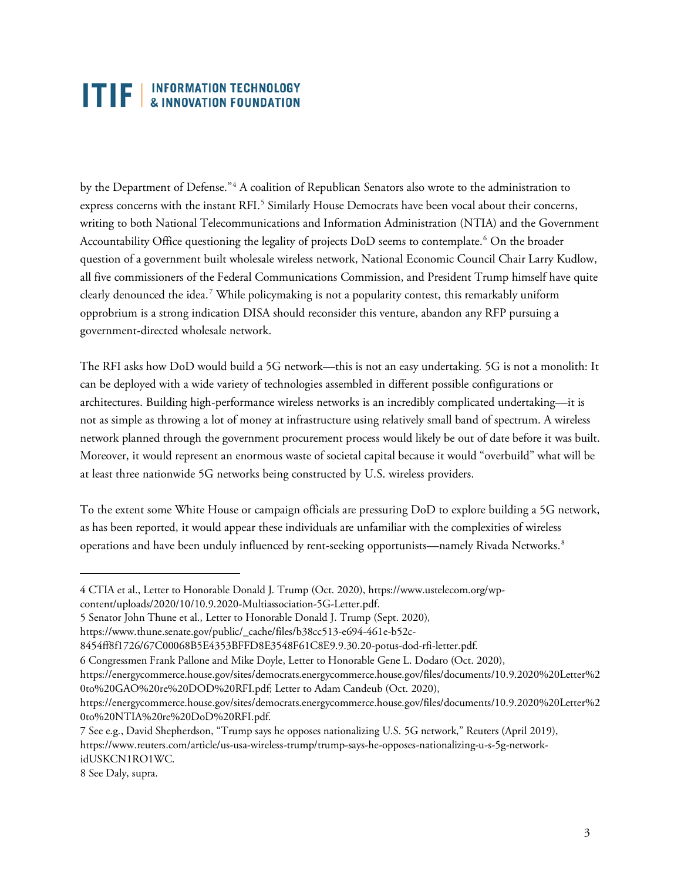by the Department of Defense."[4](#page-2-0) A coalition of Republican Senators also wrote to the administration to express concerns with the instant RFI.<sup>[5](#page-2-1)</sup> Similarly House Democrats have been vocal about their concerns, writing to both National Telecommunications and Information Administration (NTIA) and the Government Accountability Office questioning the legality of projects DoD seems to contemplate.<sup>[6](#page-2-2)</sup> On the broader question of a government built wholesale wireless network, National Economic Council Chair Larry Kudlow, all five commissioners of the Federal Communications Commission, and President Trump himself have quite clearly denounced the idea.<sup>[7](#page-2-3)</sup> While policymaking is not a popularity contest, this remarkably uniform opprobrium is a strong indication DISA should reconsider this venture, abandon any RFP pursuing a government-directed wholesale network.

The RFI asks how DoD would build a 5G network—this is not an easy undertaking. 5G is not a monolith: It can be deployed with a wide variety of technologies assembled in different possible configurations or architectures. Building high-performance wireless networks is an incredibly complicated undertaking—it is not as simple as throwing a lot of money at infrastructure using relatively small band of spectrum. A wireless network planned through the government procurement process would likely be out of date before it was built. Moreover, it would represent an enormous waste of societal capital because it would "overbuild" what will be at least three nationwide 5G networks being constructed by U.S. wireless providers.

To the extent some White House or campaign officials are pressuring DoD to explore building a 5G network, as has been reported, it would appear these individuals are unfamiliar with the complexities of wireless operations and have been unduly influenced by rent-seeking opportunists—namely Rivada Networks.<sup>[8](#page-2-4)</sup>

<span id="page-2-0"></span><sup>4</sup> CTIA et al., Letter to Honorable Donald J. Trump (Oct. 2020), [https://www.ustelecom.org/wp](https://www.ustelecom.org/wp-content/uploads/2020/10/10.9.2020-Multiassociation-5G-Letter.pdf)[content/uploads/2020/10/10.9.2020-Multiassociation-5G-Letter.pdf.](https://www.ustelecom.org/wp-content/uploads/2020/10/10.9.2020-Multiassociation-5G-Letter.pdf)

<span id="page-2-1"></span><sup>5</sup> Senator John Thune et al., Letter to Honorable Donald J. Trump (Sept. 2020),

[https://www.thune.senate.gov/public/\\_cache/files/b38cc513-e694-461e-b52c-](https://www.thune.senate.gov/public/_cache/files/b38cc513-e694-461e-b52c-8454ff8f1726/67C00068B5E4353BFFD8E3548F61C8E9.9.30.20-potus-dod-rfi-letter.pdf)

[<sup>8454</sup>ff8f1726/67C00068B5E4353BFFD8E3548F61C8E9.9.30.20-potus-dod-rfi-letter.pdf.](https://www.thune.senate.gov/public/_cache/files/b38cc513-e694-461e-b52c-8454ff8f1726/67C00068B5E4353BFFD8E3548F61C8E9.9.30.20-potus-dod-rfi-letter.pdf) 

<span id="page-2-2"></span><sup>6</sup> Congressmen Frank Pallone and Mike Doyle, Letter to Honorable Gene L. Dodaro (Oct. 2020),

[https://energycommerce.house.gov/sites/democrats.energycommerce.house.gov/files/documents/10.9.2020%20Letter%2](https://energycommerce.house.gov/sites/democrats.energycommerce.house.gov/files/documents/10.9.2020%20Letter%20to%20GAO%20re%20DOD%20RFI.pdf) [0to%20GAO%20re%20DOD%20RFI.pdf;](https://energycommerce.house.gov/sites/democrats.energycommerce.house.gov/files/documents/10.9.2020%20Letter%20to%20GAO%20re%20DOD%20RFI.pdf) Letter to Adam Candeub (Oct. 2020),

[https://energycommerce.house.gov/sites/democrats.energycommerce.house.gov/files/documents/10.9.2020%20Letter%2](https://energycommerce.house.gov/sites/democrats.energycommerce.house.gov/files/documents/10.9.2020%20Letter%20to%20NTIA%20re%20DoD%20RFI.pdf) [0to%20NTIA%20re%20DoD%20RFI.pdf.](https://energycommerce.house.gov/sites/democrats.energycommerce.house.gov/files/documents/10.9.2020%20Letter%20to%20NTIA%20re%20DoD%20RFI.pdf)

<span id="page-2-3"></span><sup>7</sup> See e.g., David Shepherdson, "Trump says he opposes nationalizing U.S. 5G network," Reuters (April 2019), [https://www.reuters.com/article/us-usa-wireless-trump/trump-says-he-opposes-nationalizing-u-s-5g-network](https://www.reuters.com/article/us-usa-wireless-trump/trump-says-he-opposes-nationalizing-u-s-5g-network-idUSKCN1RO1WC)[idUSKCN1RO1WC.](https://www.reuters.com/article/us-usa-wireless-trump/trump-says-he-opposes-nationalizing-u-s-5g-network-idUSKCN1RO1WC)

<span id="page-2-4"></span><sup>8</sup> See Daly, supra.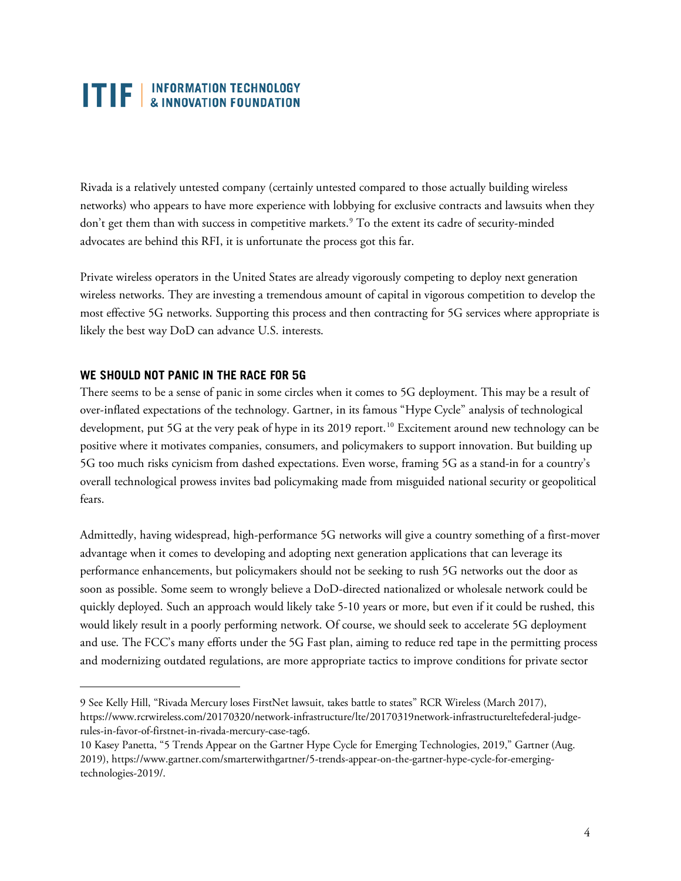Rivada is a relatively untested company (certainly untested compared to those actually building wireless networks) who appears to have more experience with lobbying for exclusive contracts and lawsuits when they don't get them than with success in competitive markets.<sup>[9](#page-3-0)</sup> To the extent its cadre of security-minded advocates are behind this RFI, it is unfortunate the process got this far.

Private wireless operators in the United States are already vigorously competing to deploy next generation wireless networks. They are investing a tremendous amount of capital in vigorous competition to develop the most effective 5G networks. Supporting this process and then contracting for 5G services where appropriate is likely the best way DoD can advance U.S. interests.

#### **WE SHOULD NOT PANIC IN THE RACE FOR 5G**

There seems to be a sense of panic in some circles when it comes to 5G deployment. This may be a result of over-inflated expectations of the technology. Gartner, in its famous "Hype Cycle" analysis of technological development, put 5G at the very peak of hype in its 2019 report.<sup>[10](#page-3-1)</sup> Excitement around new technology can be positive where it motivates companies, consumers, and policymakers to support innovation. But building up 5G too much risks cynicism from dashed expectations. Even worse, framing 5G as a stand-in for a country's overall technological prowess invites bad policymaking made from misguided national security or geopolitical fears.

Admittedly, having widespread, high-performance 5G networks will give a country something of a first-mover advantage when it comes to developing and adopting next generation applications that can leverage its performance enhancements, but policymakers should not be seeking to rush 5G networks out the door as soon as possible. Some seem to wrongly believe a DoD-directed nationalized or wholesale network could be quickly deployed. Such an approach would likely take 5-10 years or more, but even if it could be rushed, this would likely result in a poorly performing network. Of course, we should seek to accelerate 5G deployment and use. The FCC's many efforts under the 5G Fast plan, aiming to reduce red tape in the permitting process and modernizing outdated regulations, are more appropriate tactics to improve conditions for private sector

<span id="page-3-0"></span><sup>9</sup> See Kelly Hill, "Rivada Mercury loses FirstNet lawsuit, takes battle to states" RCR Wireless (March 2017), [https://www.rcrwireless.com/20170320/network-infrastructure/lte/20170319network-infrastructureltefederal-judge](https://www.rcrwireless.com/20170320/network-infrastructure/lte/20170319network-infrastructureltefederal-judge-rules-in-favor-of-firstnet-in-rivada-mercury-case-tag6)[rules-in-favor-of-firstnet-in-rivada-mercury-case-tag6.](https://www.rcrwireless.com/20170320/network-infrastructure/lte/20170319network-infrastructureltefederal-judge-rules-in-favor-of-firstnet-in-rivada-mercury-case-tag6) 

<span id="page-3-1"></span><sup>10</sup> Kasey Panetta, "5 Trends Appear on the Gartner Hype Cycle for Emerging Technologies, 2019," Gartner (Aug. 2019), https://www.gartner.com/smarterwithgartner/5-trends-appear-on-the-gartner-hype-cycle-for-emergingtechnologies-2019/.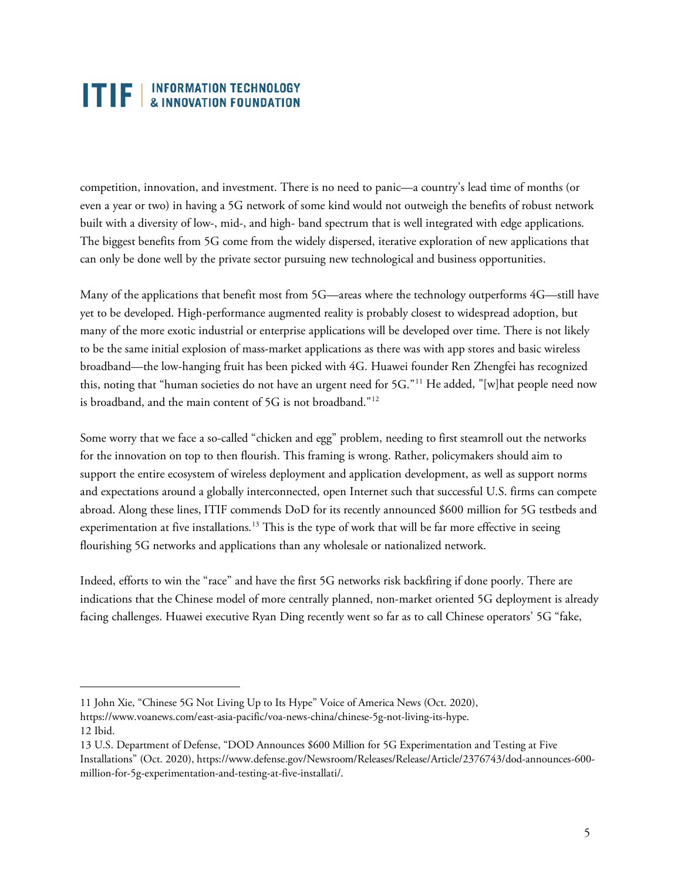competition, innovation, and investment. There is no need to panic—a country's lead time of months (or even a year or two) in having a 5G network of some kind would not outweigh the benefits of robust network built with a diversity of low-, mid-, and high- band spectrum that is well integrated with edge applications. The biggest benefits from 5G come from the widely dispersed, iterative exploration of new applications that can only be done well by the private sector pursuing new technological and business opportunities.

Many of the applications that benefit most from 5G—areas where the technology outperforms 4G—still have yet to be developed. High-performance augmented reality is probably closest to widespread adoption, but many of the more exotic industrial or enterprise applications will be developed over time. There is not likely to be the same initial explosion of mass-market applications as there was with app stores and basic wireless broadband—the low-hanging fruit has been picked with 4G. Huawei founder Ren Zhengfei has recognized this, noting that "human societies do not have an urgent need for 5G."<sup>[11](#page-4-0)</sup> He added, "[w]hat people need now is broadband, and the main content of 5G is not broadband."[12](#page-4-1)

Some worry that we face a so-called "chicken and egg" problem, needing to first steamroll out the networks for the innovation on top to then flourish. This framing is wrong. Rather, policymakers should aim to support the entire ecosystem of wireless deployment and application development, as well as support norms and expectations around a globally interconnected, open Internet such that successful U.S. firms can compete abroad. Along these lines, ITIF commends DoD for its recently announced \$600 million for 5G testbeds and experimentation at five installations.<sup>[13](#page-4-2)</sup> This is the type of work that will be far more effective in seeing flourishing 5G networks and applications than any wholesale or nationalized network.

Indeed, efforts to win the "race" and have the first 5G networks risk backfiring if done poorly. There are indications that the Chinese model of more centrally planned, non-market oriented 5G deployment is already facing challenges. Huawei executive Ryan Ding recently went so far as to call Chinese operators' 5G "fake,

<span id="page-4-0"></span><sup>11</sup> John Xie, "Chinese 5G Not Living Up to Its Hype" Voice of America News (Oct. 2020),

<span id="page-4-1"></span>[https://www.voanews.com/east-asia-pacific/voa-news-china/chinese-5g-not-living-its-hype.](https://www.voanews.com/east-asia-pacific/voa-news-china/chinese-5g-not-living-its-hype) 12 Ibid.

<span id="page-4-2"></span><sup>13</sup> U.S. Department of Defense, "DOD Announces \$600 Million for 5G Experimentation and Testing at Five Installations" (Oct. 2020), [https://www.defense.gov/Newsroom/Releases/Release/Article/2376743/dod-announces-600](https://www.defense.gov/Newsroom/Releases/Release/Article/2376743/dod-announces-600-million-for-5g-experimentation-and-testing-at-five-installati/) [million-for-5g-experimentation-and-testing-at-five-installati/.](https://www.defense.gov/Newsroom/Releases/Release/Article/2376743/dod-announces-600-million-for-5g-experimentation-and-testing-at-five-installati/)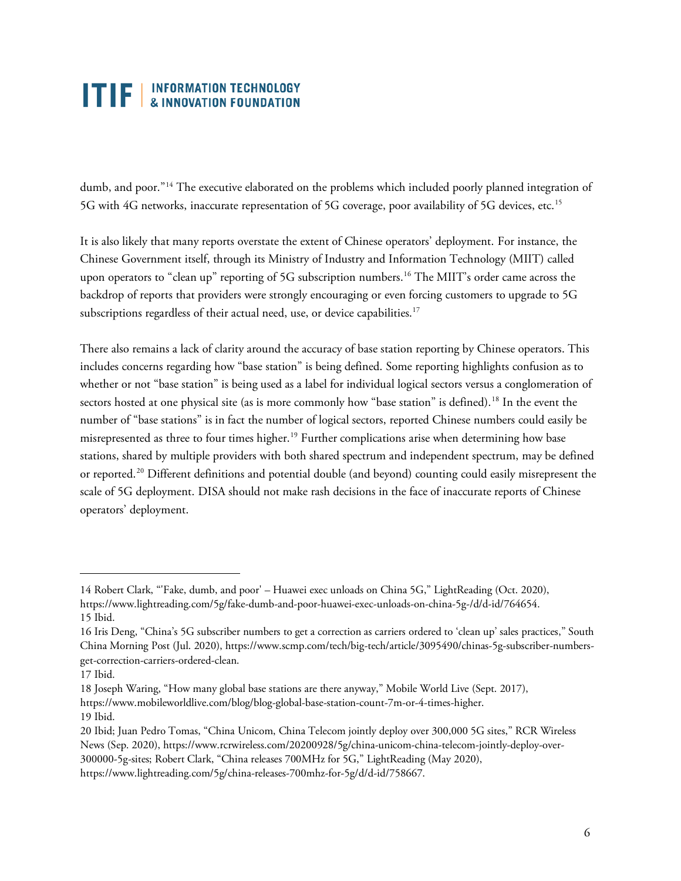dumb, and poor."[14](#page-5-0) The executive elaborated on the problems which included poorly planned integration of 5G with 4G networks, inaccurate representation of 5G coverage, poor availability of 5G devices, etc.[15](#page-5-1)

It is also likely that many reports overstate the extent of Chinese operators' deployment. For instance, the Chinese Government itself, through its Ministry of Industry and Information Technology (MIIT) called upon operators to "clean up" reporting of 5G subscription numbers. [16](#page-5-2) The MIIT's order came across the backdrop of reports that providers were strongly encouraging or even forcing customers to upgrade to 5G subscriptions regardless of their actual need, use, or device capabilities. $^{17}$  $^{17}$  $^{17}$ 

There also remains a lack of clarity around the accuracy of base station reporting by Chinese operators. This includes concerns regarding how "base station" is being defined. Some reporting highlights confusion as to whether or not "base station" is being used as a label for individual logical sectors versus a conglomeration of sectors hosted at one physical site (as is more commonly how "base station" is defined).<sup>[18](#page-5-4)</sup> In the event the number of "base stations" is in fact the number of logical sectors, reported Chinese numbers could easily be misrepresented as three to four times higher. [19](#page-5-5) Further complications arise when determining how base stations, shared by multiple providers with both shared spectrum and independent spectrum, may be defined or reported.[20](#page-5-6) Different definitions and potential double (and beyond) counting could easily misrepresent the scale of 5G deployment. DISA should not make rash decisions in the face of inaccurate reports of Chinese operators' deployment.

<span id="page-5-0"></span><sup>14</sup> Robert Clark, "'Fake, dumb, and poor' – Huawei exec unloads on China 5G," LightReading (Oct. 2020), [https://www.lightreading.com/5g/fake-dumb-and-poor-huawei-exec-unloads-on-china-5g-/d/d-id/764654.](https://www.lightreading.com/5g/fake-dumb-and-poor-huawei-exec-unloads-on-china-5g-/d/d-id/764654) 15 Ibid.

<span id="page-5-2"></span><span id="page-5-1"></span><sup>16</sup> Iris Deng, "China's 5G subscriber numbers to get a correction as carriers ordered to 'clean up' sales practices," South China Morning Post (Jul. 2020)[, https://www.scmp.com/tech/big-tech/article/3095490/chinas-5g-subscriber-numbers](https://www.scmp.com/tech/big-tech/article/3095490/chinas-5g-subscriber-numbers-get-correction-carriers-ordered-clean)[get-correction-carriers-ordered-clean.](https://www.scmp.com/tech/big-tech/article/3095490/chinas-5g-subscriber-numbers-get-correction-carriers-ordered-clean)

<span id="page-5-3"></span><sup>17</sup> Ibid.

<span id="page-5-4"></span><sup>18</sup> Joseph Waring, "How many global base stations are there anyway," Mobile World Live (Sept. 2017), [https://www.mobileworldlive.com/blog/blog-global-base-station-count-7m-or-4-times-higher.](https://www.mobileworldlive.com/blog/blog-global-base-station-count-7m-or-4-times-higher) 19 Ibid.

<span id="page-5-6"></span><span id="page-5-5"></span><sup>20</sup> Ibid; Juan Pedro Tomas, "China Unicom, China Telecom jointly deploy over 300,000 5G sites," RCR Wireless News (Sep. 2020)[, https://www.rcrwireless.com/20200928/5g/china-unicom-china-telecom-jointly-deploy-over-](https://www.rcrwireless.com/20200928/5g/china-unicom-china-telecom-jointly-deploy-over-300000-5g-sites)[300000-5g-sites;](https://www.rcrwireless.com/20200928/5g/china-unicom-china-telecom-jointly-deploy-over-300000-5g-sites) Robert Clark, "China releases 700MHz for 5G," LightReading (May 2020),

[https://www.lightreading.com/5g/china-releases-700mhz-for-5g/d/d-id/758667.](https://www.lightreading.com/5g/china-releases-700mhz-for-5g/d/d-id/758667)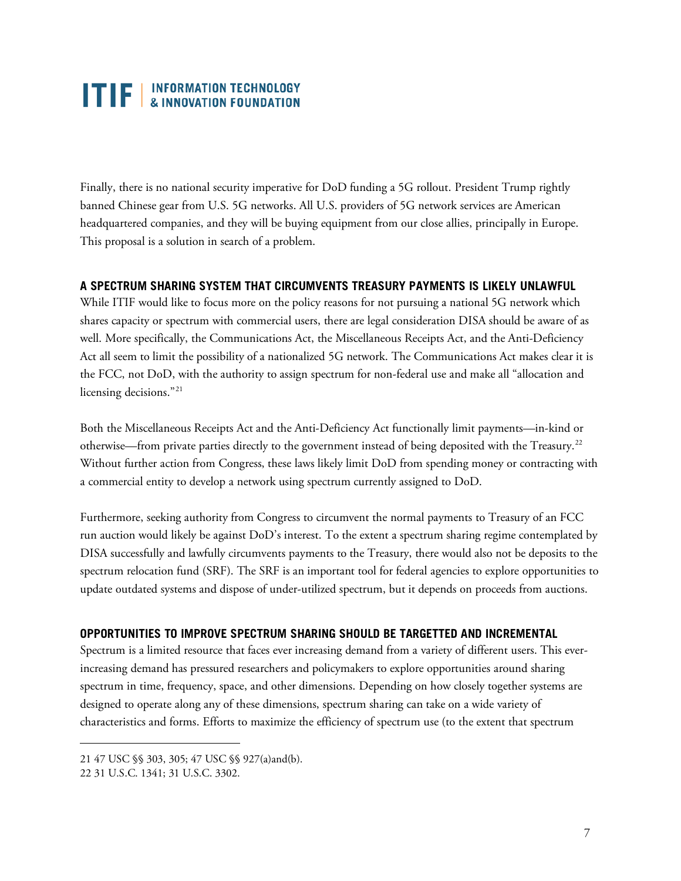## **TIF** EXPRORMATION TECHNOLOGY

Finally, there is no national security imperative for DoD funding a 5G rollout. President Trump rightly banned Chinese gear from U.S. 5G networks. All U.S. providers of 5G network services are American headquartered companies, and they will be buying equipment from our close allies, principally in Europe. This proposal is a solution in search of a problem.

#### **A SPECTRUM SHARING SYSTEM THAT CIRCUMVENTS TREASURY PAYMENTS IS LIKELY UNLAWFUL**

While ITIF would like to focus more on the policy reasons for not pursuing a national 5G network which shares capacity or spectrum with commercial users, there are legal consideration DISA should be aware of as well. More specifically, the Communications Act, the Miscellaneous Receipts Act, and the Anti-Deficiency Act all seem to limit the possibility of a nationalized 5G network. The Communications Act makes clear it is the FCC, not DoD, with the authority to assign spectrum for non-federal use and make all "allocation and licensing decisions."<sup>[21](#page-6-0)</sup>

Both the Miscellaneous Receipts Act and the Anti-Deficiency Act functionally limit payments—in-kind or otherwise—from private parties directly to the government instead of being deposited with the Treasury. $^{22}$  $^{22}$  $^{22}$ Without further action from Congress, these laws likely limit DoD from spending money or contracting with a commercial entity to develop a network using spectrum currently assigned to DoD.

Furthermore, seeking authority from Congress to circumvent the normal payments to Treasury of an FCC run auction would likely be against DoD's interest. To the extent a spectrum sharing regime contemplated by DISA successfully and lawfully circumvents payments to the Treasury, there would also not be deposits to the spectrum relocation fund (SRF). The SRF is an important tool for federal agencies to explore opportunities to update outdated systems and dispose of under-utilized spectrum, but it depends on proceeds from auctions.

#### **OPPORTUNITIES TO IMPROVE SPECTRUM SHARING SHOULD BE TARGETTED AND INCREMENTAL**

Spectrum is a limited resource that faces ever increasing demand from a variety of different users. This everincreasing demand has pressured researchers and policymakers to explore opportunities around sharing spectrum in time, frequency, space, and other dimensions. Depending on how closely together systems are designed to operate along any of these dimensions, spectrum sharing can take on a wide variety of characteristics and forms. Efforts to maximize the efficiency of spectrum use (to the extent that spectrum

<span id="page-6-0"></span><sup>21</sup> 47 USC §§ 303, 305; 47 USC §§ 927(a)and(b).

<span id="page-6-1"></span><sup>22</sup> 31 U.S.C. 1341; 31 U.S.C. 3302.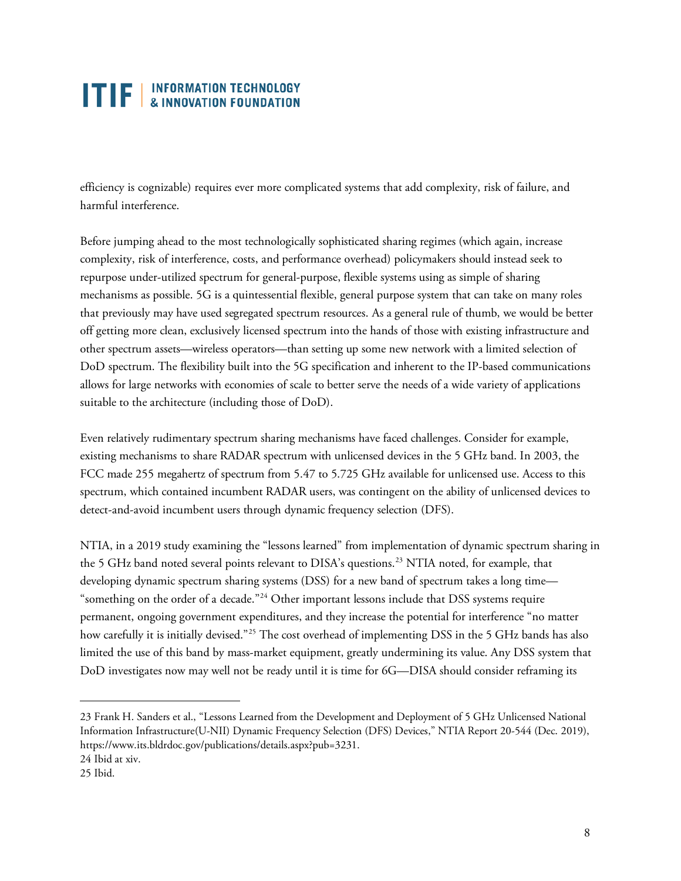efficiency is cognizable) requires ever more complicated systems that add complexity, risk of failure, and harmful interference.

Before jumping ahead to the most technologically sophisticated sharing regimes (which again, increase complexity, risk of interference, costs, and performance overhead) policymakers should instead seek to repurpose under-utilized spectrum for general-purpose, flexible systems using as simple of sharing mechanisms as possible. 5G is a quintessential flexible, general purpose system that can take on many roles that previously may have used segregated spectrum resources. As a general rule of thumb, we would be better off getting more clean, exclusively licensed spectrum into the hands of those with existing infrastructure and other spectrum assets—wireless operators—than setting up some new network with a limited selection of DoD spectrum. The flexibility built into the 5G specification and inherent to the IP-based communications allows for large networks with economies of scale to better serve the needs of a wide variety of applications suitable to the architecture (including those of DoD).

Even relatively rudimentary spectrum sharing mechanisms have faced challenges. Consider for example, existing mechanisms to share RADAR spectrum with unlicensed devices in the 5 GHz band. In 2003, the FCC made 255 megahertz of spectrum from 5.47 to 5.725 GHz available for unlicensed use. Access to this spectrum, which contained incumbent RADAR users, was contingent on the ability of unlicensed devices to detect-and-avoid incumbent users through dynamic frequency selection (DFS).

NTIA, in a 2019 study examining the "lessons learned" from implementation of dynamic spectrum sharing in the 5 GHz band noted several points relevant to DISA's questions.<sup>[23](#page-7-0)</sup> NTIA noted, for example, that developing dynamic spectrum sharing systems (DSS) for a new band of spectrum takes a long time— "something on the order of a decade."[24](#page-7-1) Other important lessons include that DSS systems require permanent, ongoing government expenditures, and they increase the potential for interference "no matter how carefully it is initially devised."[25](#page-7-2) The cost overhead of implementing DSS in the 5 GHz bands has also limited the use of this band by mass-market equipment, greatly undermining its value. Any DSS system that DoD investigates now may well not be ready until it is time for 6G—DISA should consider reframing its

<span id="page-7-0"></span><sup>23</sup> Frank H. Sanders et al., "Lessons Learned from the Development and Deployment of 5 GHz Unlicensed National Information Infrastructure(U-NII) Dynamic Frequency Selection (DFS) Devices," NTIA Report 20-544 (Dec. 2019), [https://www.its.bldrdoc.gov/publications/details.aspx?pub=3231.](https://www.its.bldrdoc.gov/publications/details.aspx?pub=3231)

<span id="page-7-1"></span><sup>24</sup> Ibid at xiv.

<span id="page-7-2"></span><sup>25</sup> Ibid.